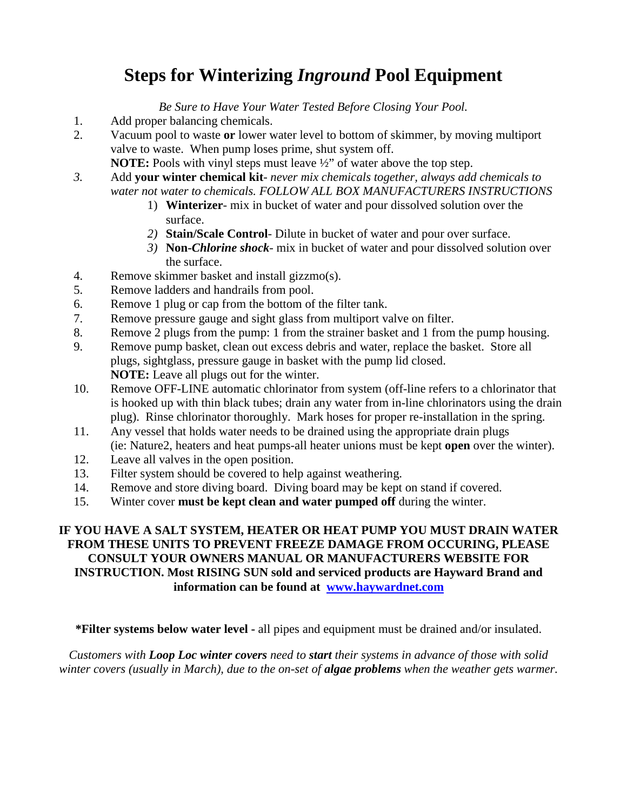## **Steps for Winterizing** *Inground* **Pool Equipment**

*Be Sure to Have Your Water Tested Before Closing Your Pool.*

- 1. Add proper balancing chemicals.
- 2. Vacuum pool to waste **or** lower water level to bottom of skimmer, by moving multiport valve to waste. When pump loses prime, shut system off.
	- **NOTE:** Pools with vinyl steps must leave  $\frac{1}{2}$  of water above the top step.
- *3.* Add **your winter chemical kit** *never mix chemicals together, always add chemicals to water not water to chemicals. FOLLOW ALL BOX MANUFACTURERS INSTRUCTIONS*
	- 1) **Winterizer** mix in bucket of water and pour dissolved solution over the surface.
	- *2)* **Stain/Scale Control***-* Dilute in bucket of water and pour over surface.
	- *3)* **Non-***Chlorine shock* mix in bucket of water and pour dissolved solution over the surface.
- 4. Remove skimmer basket and install gizzmo(s).
- 5. Remove ladders and handrails from pool.
- 6. Remove 1 plug or cap from the bottom of the filter tank.
- 7. Remove pressure gauge and sight glass from multiport valve on filter.
- 8. Remove 2 plugs from the pump: 1 from the strainer basket and 1 from the pump housing.
- 9. Remove pump basket, clean out excess debris and water, replace the basket. Store all plugs, sightglass, pressure gauge in basket with the pump lid closed. **NOTE:** Leave all plugs out for the winter.
- 10. Remove OFF-LINE automatic chlorinator from system (off-line refers to a chlorinator that is hooked up with thin black tubes; drain any water from in-line chlorinators using the drain plug). Rinse chlorinator thoroughly. Mark hoses for proper re-installation in the spring.
- 11. Any vessel that holds water needs to be drained using the appropriate drain plugs (ie: Nature2, heaters and heat pumps-all heater unions must be kept **open** over the winter).
- 12. Leave all valves in the open position.
- 13. Filter system should be covered to help against weathering.
- 14. Remove and store diving board. Diving board may be kept on stand if covered.
- 15. Winter cover **must be kept clean and water pumped off** during the winter.

## **IF YOU HAVE A SALT SYSTEM, HEATER OR HEAT PUMP YOU MUST DRAIN WATER FROM THESE UNITS TO PREVENT FREEZE DAMAGE FROM OCCURING, PLEASE CONSULT YOUR OWNERS MANUAL OR MANUFACTURERS WEBSITE FOR INSTRUCTION. Most RISING SUN sold and serviced products are Hayward Brand and information can be found at [www.haywardnet.com](http://www.haywardnet.com/)**

**\*Filter systems below water level -** all pipes and equipment must be drained and/or insulated.

*Customers with Loop Loc winter covers need to start their systems in advance of those with solid winter covers (usually in March), due to the on-set of algae problems when the weather gets warmer.*